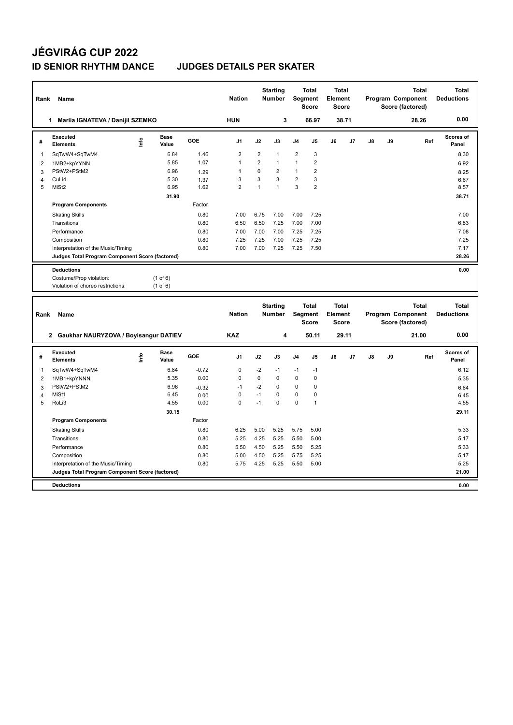## **JÉGVIRÁG CUP 2022**

## **ID SENIOR RHYTHM DANCE JUDGES DETAILS PER SKATER**

| Rank           | Name                                            |            |                      |         | <b>Nation</b>  |                                  | <b>Starting</b><br><b>Number</b> |                                                | <b>Total</b><br><b>Segment</b><br><b>Score</b> | <b>Total</b><br>Element<br><b>Score</b> |       |                                                       |    | <b>Total</b><br>Program Component<br>Score (factored) | <b>Total</b><br><b>Deductions</b> |
|----------------|-------------------------------------------------|------------|----------------------|---------|----------------|----------------------------------|----------------------------------|------------------------------------------------|------------------------------------------------|-----------------------------------------|-------|-------------------------------------------------------|----|-------------------------------------------------------|-----------------------------------|
|                | Mariia IGNATEVA / Danijil SZEMKO<br>1           |            |                      |         | <b>HUN</b>     |                                  | 3                                |                                                | 66.97                                          |                                         | 38.71 |                                                       |    | 28.26                                                 | 0.00                              |
| #              | <b>Executed</b><br><b>Elements</b>              | ١nf٥       | Base<br>Value        | GOE     | J1             | J2                               | J3                               | J <sub>4</sub>                                 | J5                                             | J6                                      | J7    | J8                                                    | J9 | Ref                                                   | <b>Scores of</b><br>Panel         |
| 1              | SqTwW4+SqTwM4                                   |            | 6.84                 | 1.46    | $\overline{2}$ | $\overline{2}$                   | $\mathbf{1}$                     | $\overline{2}$                                 | 3                                              |                                         |       |                                                       |    |                                                       | 8.30                              |
| 2              | 1MB2+kpYYNN                                     |            | 5.85                 | 1.07    | $\mathbf{1}$   | $\overline{2}$                   | $\mathbf{1}$                     | $\mathbf{1}$                                   | $\overline{2}$                                 |                                         |       |                                                       |    |                                                       | 6.92                              |
| 3              | PStW2+PStM2                                     |            | 6.96                 | 1.29    | 1              | 0                                | $\overline{2}$                   | $\mathbf{1}$                                   | $\overline{2}$                                 |                                         |       |                                                       |    |                                                       | 8.25                              |
| $\overline{4}$ | CuLi4                                           |            | 5.30                 | 1.37    | 3              | 3                                | 3                                | $\overline{2}$                                 | 3                                              |                                         |       |                                                       |    |                                                       | 6.67                              |
| 5              | MiSt <sub>2</sub>                               |            | 6.95                 | 1.62    | $\overline{2}$ | $\mathbf{1}$                     | $\mathbf{1}$                     | 3                                              | $\overline{2}$                                 |                                         |       |                                                       |    |                                                       | 8.57                              |
|                |                                                 |            | 31.90                |         |                |                                  |                                  |                                                |                                                |                                         |       |                                                       |    |                                                       | 38.71                             |
|                | <b>Program Components</b>                       |            |                      | Factor  |                |                                  |                                  |                                                |                                                |                                         |       |                                                       |    |                                                       |                                   |
|                | <b>Skating Skills</b>                           |            |                      | 0.80    | 7.00           | 6.75                             | 7.00                             | 7.00                                           | 7.25                                           |                                         |       |                                                       |    |                                                       | 7.00                              |
|                | Transitions                                     |            |                      | 0.80    | 6.50           | 6.50                             | 7.25                             | 7.00                                           | 7.00                                           |                                         |       |                                                       |    |                                                       | 6.83                              |
|                | Performance                                     |            |                      | 0.80    | 7.00           | 7.00                             | 7.00                             | 7.25                                           | 7.25                                           |                                         |       |                                                       |    |                                                       | 7.08                              |
|                | Composition                                     |            |                      | 0.80    | 7.25           | 7.25                             | 7.00                             | 7.25                                           | 7.25                                           |                                         |       |                                                       |    |                                                       | 7.25                              |
|                | Interpretation of the Music/Timing              |            |                      | 0.80    | 7.00           | 7.00                             | 7.25                             | 7.25                                           | 7.50                                           |                                         |       |                                                       |    |                                                       | 7.17                              |
|                | Judges Total Program Component Score (factored) |            |                      |         |                |                                  |                                  |                                                |                                                |                                         |       |                                                       |    |                                                       | 28.26                             |
|                | <b>Deductions</b>                               |            |                      |         |                |                                  |                                  |                                                |                                                |                                         |       |                                                       |    |                                                       | 0.00                              |
|                | Costume/Prop violation:                         |            | (1 of 6)             |         |                |                                  |                                  |                                                |                                                |                                         |       |                                                       |    |                                                       |                                   |
|                | Violation of choreo restrictions:               |            | $(1$ of $6)$         |         |                |                                  |                                  |                                                |                                                |                                         |       |                                                       |    |                                                       |                                   |
|                |                                                 |            |                      |         |                |                                  |                                  |                                                |                                                |                                         |       |                                                       |    |                                                       |                                   |
| Rank           | Name                                            |            |                      |         | <b>Nation</b>  | <b>Starting</b><br><b>Number</b> |                                  | <b>Total</b><br><b>Segment</b><br><b>Score</b> |                                                | <b>Total</b><br>Element<br><b>Score</b> |       | <b>Total</b><br>Program Component<br>Score (factored) |    |                                                       | <b>Total</b><br><b>Deductions</b> |
|                | 2 Gaukhar NAURYZOVA / Boyisangur DATIEV         | <b>KAZ</b> |                      | 4       |                | 50.11                            |                                  | 29.11                                          |                                                |                                         | 21.00 | 0.00                                                  |    |                                                       |                                   |
| #              | <b>Executed</b><br><b>Elements</b>              | lnfo       | <b>Base</b><br>Value | GOE     | J <sub>1</sub> | J2                               | J3                               | J <sub>4</sub>                                 | J5                                             | J6                                      | J7    | J8                                                    | J9 | Ref                                                   | <b>Scores of</b><br>Panel         |
| 1              | SqTwW4+SqTwM4                                   |            | 6.84                 | $-0.72$ | $\mathbf 0$    | $-2$                             | $-1$                             | $-1$                                           | $-1$                                           |                                         |       |                                                       |    |                                                       | 6.12                              |
| 2              | 1MB1+kpYNNN                                     |            | 5.35                 | 0.00    | $\mathbf 0$    | $\mathbf 0$                      | $\mathbf 0$                      | $\mathbf 0$                                    | $\mathbf 0$                                    |                                         |       |                                                       |    |                                                       | 5.35                              |
| 3              | PStW2+PStM2                                     |            | 6.96                 | $-0.32$ | $-1$           | $-2$                             | $\mathbf 0$                      | 0                                              | $\Omega$                                       |                                         |       |                                                       |    |                                                       | 6.64                              |

4 MiSt1 6.45 0.00 0 -1 0 0 0 0 0 0 0 0 6.45 5 RoLi3 4.55 0.00 0 -1 0 0 1 4.55

Factor

Skating Skills 6.25 5.00 5.25 5.00 5.25 5.00 5.25 5.00 5.25 5.00 5.33

Transitions 0.80 5.25 4.25 5.25 5.50 5.00 5.17 Performance 0.80 5.50 4.50 5.25 5.50 5.25 5.33 Composition 0.80 5.00 4.50 5.25 5.75 5.25 5.17 Interpretation of the Music/Timing 0.80 5.75 4.25 5.25 5.50 5.00 5.25

 **30.15 29.11**

**Judges Total Program Component Score (factored) 21.00**

**Program Components** 

**Deductions 0.00**